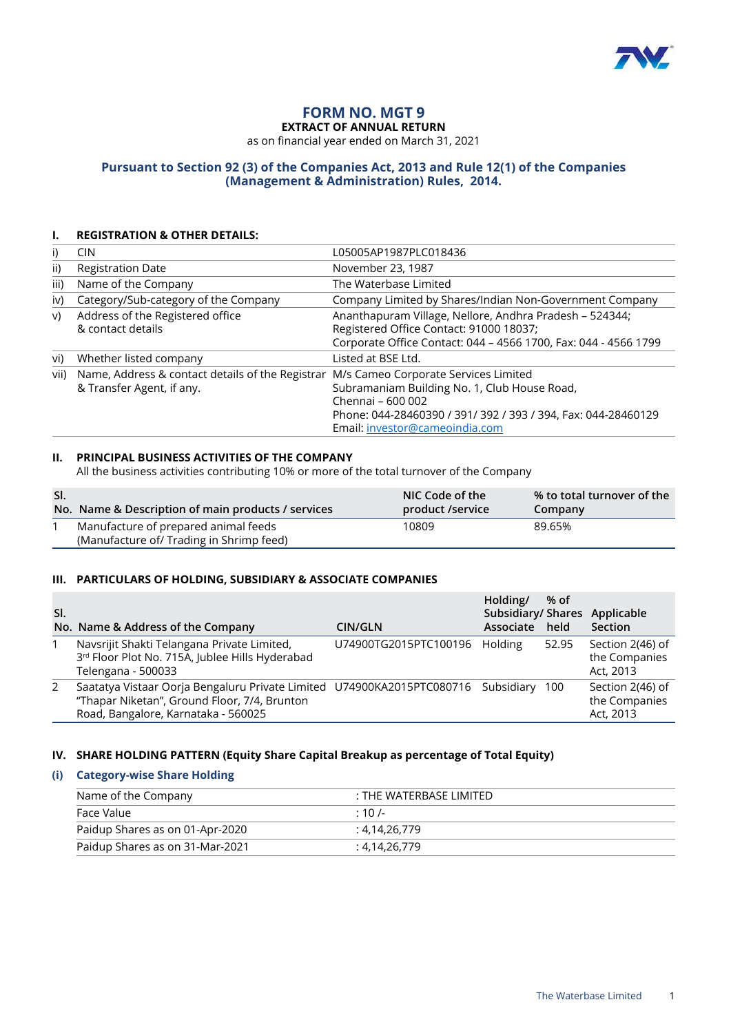

# **FORM NO. MGT 9**

**EXTRACT OF ANNUAL RETURN**

as on financial year ended on March 31, 2021

#### **Pursuant to Section 92 (3) of the Companies Act, 2013 and Rule 12(1) of the Companies (Management & Administration) Rules, 2014.**

#### **I. REGISTRATION & OTHER DETAILS:**

| i)            | CIN                                                                           | L05005AP1987PLC018436                                                                                                                                                                                        |
|---------------|-------------------------------------------------------------------------------|--------------------------------------------------------------------------------------------------------------------------------------------------------------------------------------------------------------|
| $\mathsf{ii}$ | <b>Registration Date</b>                                                      | November 23, 1987                                                                                                                                                                                            |
| iii)          | Name of the Company                                                           | The Waterbase Limited                                                                                                                                                                                        |
| iv)           | Category/Sub-category of the Company                                          | Company Limited by Shares/Indian Non-Government Company                                                                                                                                                      |
| V)            | Address of the Registered office<br>& contact details                         | Ananthapuram Village, Nellore, Andhra Pradesh - 524344;<br>Registered Office Contact: 91000 18037;<br>Corporate Office Contact: 044 - 4566 1700, Fax: 044 - 4566 1799                                        |
| vi)           | Whether listed company                                                        | Listed at BSE Ltd.                                                                                                                                                                                           |
| vii)          | Name, Address & contact details of the Registrar<br>& Transfer Agent, if any. | M/s Cameo Corporate Services Limited<br>Subramaniam Building No. 1, Club House Road,<br>Chennai - 600 002<br>Phone: 044-28460390 / 391/ 392 / 393 / 394, Fax: 044-28460129<br>Email: investor@cameoindia.com |

#### **II. PRINCIPAL BUSINESS ACTIVITIES OF THE COMPANY**

All the business activities contributing 10% or more of the total turnover of the Company

| SI. | No. Name & Description of main products / services                               | NIC Code of the<br>product /service | % to total turnover of the<br>Company |
|-----|----------------------------------------------------------------------------------|-------------------------------------|---------------------------------------|
|     | Manufacture of prepared animal feeds<br>(Manufacture of/ Trading in Shrimp feed) | 10809                               | 89.65%                                |

#### **III. PARTICULARS OF HOLDING, SUBSIDIARY & ASSOCIATE COMPANIES**

| SI. | No. Name & Address of the Company                                                                                                                                        | CIN/GLN               | Holding/<br>Associate | % of<br>held | Subsidiary/ Shares Applicable<br>Section       |
|-----|--------------------------------------------------------------------------------------------------------------------------------------------------------------------------|-----------------------|-----------------------|--------------|------------------------------------------------|
|     | Navsrijit Shakti Telangana Private Limited,<br>3rd Floor Plot No. 715A, Jublee Hills Hyderabad<br>Telengana - 500033                                                     | U74900TG2015PTC100196 | Holding               | 52.95        | Section 2(46) of<br>the Companies<br>Act, 2013 |
| 2   | Saatatya Vistaar Oorja Bengaluru Private Limited U74900KA2015PTC080716 Subsidiary<br>"Thapar Niketan", Ground Floor, 7/4, Brunton<br>Road, Bangalore, Karnataka - 560025 |                       |                       | 100          | Section 2(46) of<br>the Companies<br>Act, 2013 |

#### **IV. SHARE HOLDING PATTERN (Equity Share Capital Breakup as percentage of Total Equity)**

#### **(i) Category-wise Share Holding**

| Name of the Company             | : THE WATERBASE LIMITED |  |
|---------------------------------|-------------------------|--|
| Face Value                      | $\cdot$ 10 /-           |  |
| Paidup Shares as on 01-Apr-2020 | : 4.14.26.779           |  |
| Paidup Shares as on 31-Mar-2021 | : 4.14.26.779           |  |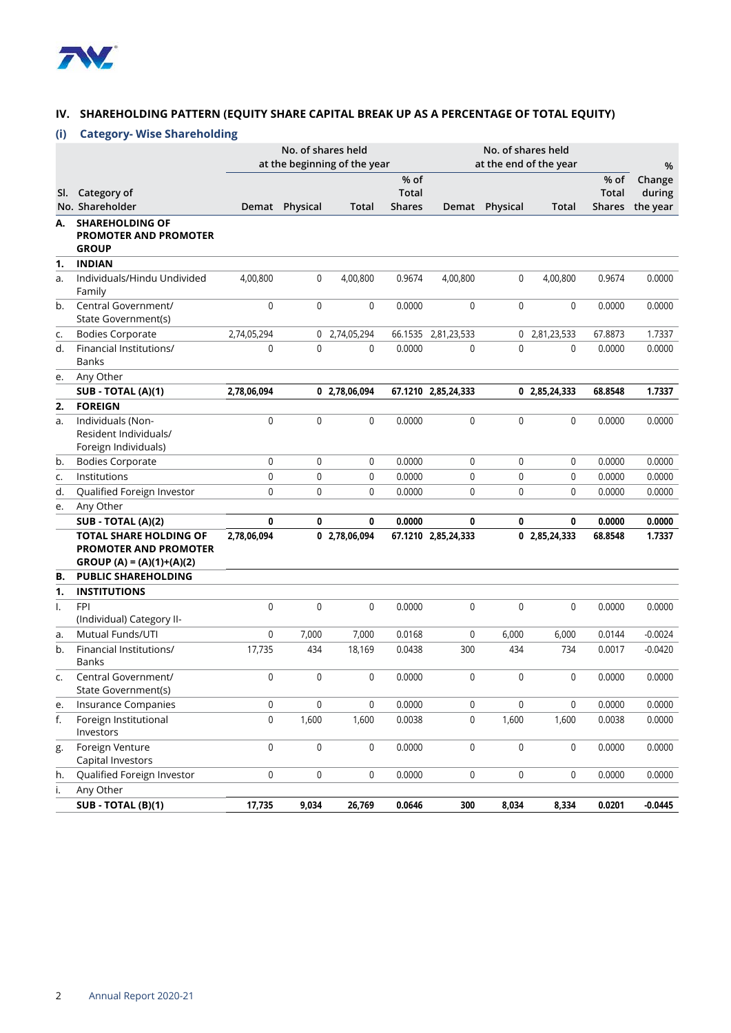

#### **IV. SHAREHOLDING PATTERN (EQUITY SHARE CAPITAL BREAK UP AS A PERCENTAGE OF TOTAL EQUITY)**

### **(i) Category- Wise Shareholding**

|     |                                                                                             |             | No. of shares held | at the beginning of the year |                        |                     |                | No. of shares held<br>at the end of the year |                               | %                  |
|-----|---------------------------------------------------------------------------------------------|-------------|--------------------|------------------------------|------------------------|---------------------|----------------|----------------------------------------------|-------------------------------|--------------------|
|     |                                                                                             |             |                    |                              | % of                   |                     |                |                                              | % of                          | Change             |
| SI. | Category of<br>No. Shareholder                                                              | Demat       | Physical           | <b>Total</b>                 | Total<br><b>Shares</b> |                     | Demat Physical | <b>Total</b>                                 | <b>Total</b><br><b>Shares</b> | during<br>the year |
| А.  | <b>SHAREHOLDING OF</b>                                                                      |             |                    |                              |                        |                     |                |                                              |                               |                    |
|     | <b>PROMOTER AND PROMOTER</b><br><b>GROUP</b>                                                |             |                    |                              |                        |                     |                |                                              |                               |                    |
| 1.  | <b>INDIAN</b>                                                                               |             |                    |                              |                        |                     |                |                                              |                               |                    |
| a.  | Individuals/Hindu Undivided<br>Family                                                       | 4,00,800    | 0                  | 4,00,800                     | 0.9674                 | 4,00,800            | $\mathbf 0$    | 4,00,800                                     | 0.9674                        | 0.0000             |
| b.  | Central Government/<br>State Government(s)                                                  | 0           | 0                  | $\mathbf 0$                  | 0.0000                 | $\mathbf 0$         | $\mathbf 0$    | $\mathbf 0$                                  | 0.0000                        | 0.0000             |
| c.  | <b>Bodies Corporate</b>                                                                     | 2,74,05,294 |                    | 0 2,74,05,294                | 66.1535                | 2,81,23,533         |                | 0 2,81,23,533                                | 67.8873                       | 1.7337             |
| d.  | Financial Institutions/<br><b>Banks</b>                                                     | 0           | 0                  | $\mathbf{0}$                 | 0.0000                 | 0                   | $\mathbf{0}$   | 0                                            | 0.0000                        | 0.0000             |
| e.  | Any Other                                                                                   |             |                    |                              |                        |                     |                |                                              |                               |                    |
|     | SUB - TOTAL (A)(1)                                                                          | 2,78,06,094 |                    | 0 2,78,06,094                |                        | 67.1210 2,85,24,333 |                | 0 2,85,24,333                                | 68.8548                       | 1.7337             |
| 2.  | <b>FOREIGN</b>                                                                              |             |                    |                              |                        |                     |                |                                              |                               |                    |
| a.  | Individuals (Non-<br>Resident Individuals/<br>Foreign Individuals)                          | 0           | 0                  | 0                            | 0.0000                 | 0                   | 0              | 0                                            | 0.0000                        | 0.0000             |
| b.  | <b>Bodies Corporate</b>                                                                     | 0           | 0                  | 0                            | 0.0000                 | $\mathbf 0$         | $\Omega$       | 0                                            | 0.0000                        | 0.0000             |
| c.  | Institutions                                                                                | 0           | $\mathbf 0$        | 0                            | 0.0000                 | 0                   | $\mathbf 0$    | 0                                            | 0.0000                        | 0.0000             |
| d.  | Qualified Foreign Investor                                                                  | 0           | $\mathbf 0$        | 0                            | 0.0000                 | 0                   | $\mathbf 0$    | 0                                            | 0.0000                        | 0.0000             |
| e.  | Any Other                                                                                   |             |                    |                              |                        |                     |                |                                              |                               |                    |
|     | SUB - TOTAL (A)(2)                                                                          | 0           | 0                  | 0                            | 0.0000                 | 0                   | 0              | 0                                            | 0.0000                        | 0.0000             |
|     | <b>TOTAL SHARE HOLDING OF</b><br><b>PROMOTER AND PROMOTER</b><br>$GROUP(A) = (A)(1)+(A)(2)$ | 2,78,06,094 |                    | 0 2,78,06,094                |                        | 67.1210 2,85,24,333 |                | 0, 2, 85, 24, 333                            | 68.8548                       | 1.7337             |
| В.  | <b>PUBLIC SHAREHOLDING</b>                                                                  |             |                    |                              |                        |                     |                |                                              |                               |                    |
| 1.  | <b>INSTITUTIONS</b>                                                                         |             |                    |                              |                        |                     |                |                                              |                               |                    |
| Ι.  | <b>FPI</b><br>(Individual) Category II-                                                     | 0           | 0                  | $\mathbf 0$                  | 0.0000                 | $\mathbf 0$         | $\mathbf 0$    | $\mathbf 0$                                  | 0.0000                        | 0.0000             |
| a.  | Mutual Funds/UTI                                                                            | 0           | 7,000              | 7,000                        | 0.0168                 | 0                   | 6,000          | 6,000                                        | 0.0144                        | $-0.0024$          |
| b.  | Financial Institutions/<br><b>Banks</b>                                                     | 17,735      | 434                | 18,169                       | 0.0438                 | 300                 | 434            | 734                                          | 0.0017                        | $-0.0420$          |
| c.  | Central Government/<br>State Government(s)                                                  | 0           | 0                  | 0                            | 0.0000                 | 0                   | 0              | 0                                            | 0.0000                        | 0.0000             |
| е.  | Insurance Companies                                                                         | 0           | $\pmb{0}$          | 0                            | 0.0000                 | 0                   | 0              | 0                                            | 0.0000                        | 0.0000             |
| f.  | Foreign Institutional<br>Investors                                                          | 0           | 1,600              | 1,600                        | 0.0038                 | 0                   | 1,600          | 1,600                                        | 0.0038                        | 0.0000             |
| g.  | Foreign Venture<br>Capital Investors                                                        | 0           | 0                  | 0                            | 0.0000                 | 0                   | 0              | 0                                            | 0.0000                        | 0.0000             |
| h.  | Qualified Foreign Investor                                                                  | 0           | 0                  | 0                            | 0.0000                 | 0                   | 0              | 0                                            | 0.0000                        | 0.0000             |
| i.  | Any Other                                                                                   |             |                    |                              |                        |                     |                |                                              |                               |                    |
|     | SUB - TOTAL (B)(1)                                                                          | 17,735      | 9,034              | 26,769                       | 0.0646                 | 300                 | 8,034          | 8,334                                        | 0.0201                        | $-0.0445$          |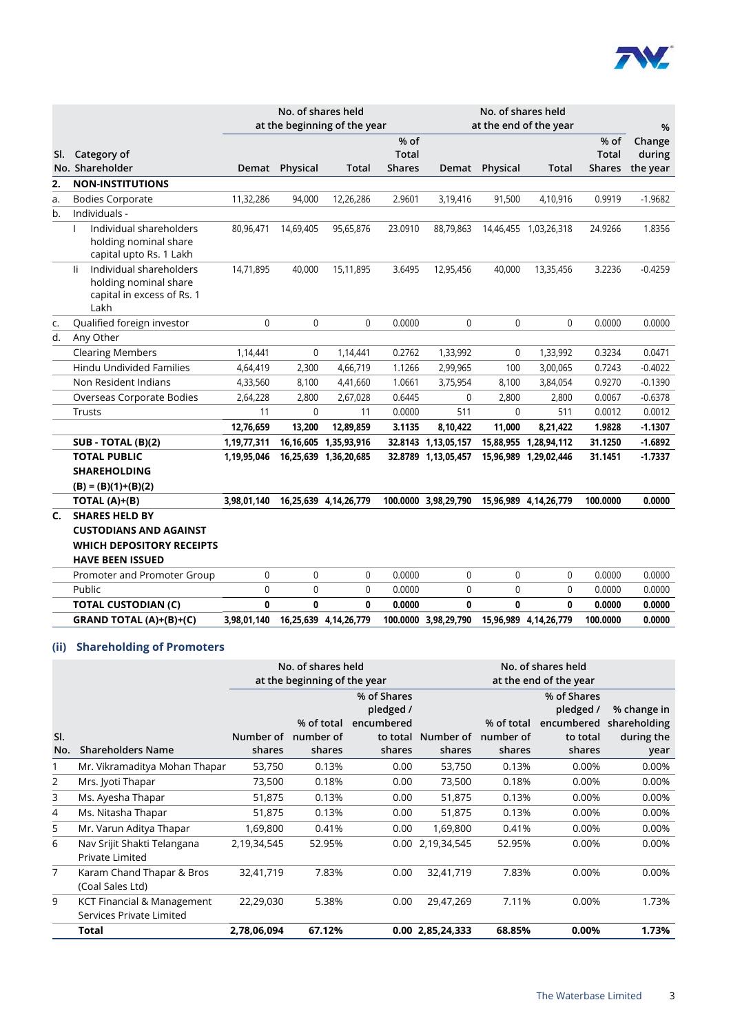

|     |                                                                                               |             | No. of shares held |                              |               | No. of shares held   |                |                        |               |           |
|-----|-----------------------------------------------------------------------------------------------|-------------|--------------------|------------------------------|---------------|----------------------|----------------|------------------------|---------------|-----------|
|     |                                                                                               |             |                    | at the beginning of the year |               |                      |                | at the end of the year |               | %         |
|     |                                                                                               |             |                    |                              | % of          |                      |                |                        | % of          | Change    |
| SI. | Category of                                                                                   |             |                    |                              | <b>Total</b>  |                      |                |                        | <b>Total</b>  | during    |
|     | No. Shareholder                                                                               | Demat       | Physical           | <b>Total</b>                 | <b>Shares</b> |                      | Demat Physical | <b>Total</b>           | <b>Shares</b> | the year  |
| 2.  | <b>NON-INSTITUTIONS</b>                                                                       |             |                    |                              |               |                      |                |                        |               |           |
| a.  | <b>Bodies Corporate</b>                                                                       | 11,32,286   | 94,000             | 12,26,286                    | 2.9601        | 3,19,416             | 91,500         | 4,10,916               | 0.9919        | $-1.9682$ |
| b.  | Individuals -                                                                                 |             |                    |                              |               |                      |                |                        |               |           |
|     | Individual shareholders<br>$\mathbf{I}$<br>holding nominal share<br>capital upto Rs. 1 Lakh   | 80,96,471   | 14,69,405          | 95,65,876                    | 23.0910       | 88,79,863            |                | 14,46,455 1,03,26,318  | 24.9266       | 1.8356    |
|     | Individual shareholders<br>li.<br>holding nominal share<br>capital in excess of Rs. 1<br>Lakh | 14,71,895   | 40,000             | 15,11,895                    | 3.6495        | 12,95,456            | 40,000         | 13,35,456              | 3.2236        | $-0.4259$ |
| c.  | Qualified foreign investor                                                                    | $\Omega$    | $\Omega$           | $\mathbf{0}$                 | 0.0000        | $\mathbf{0}$         | $\mathbf{0}$   | $\Omega$               | 0.0000        | 0.0000    |
| d.  | Any Other                                                                                     |             |                    |                              |               |                      |                |                        |               |           |
|     | <b>Clearing Members</b>                                                                       | 1,14,441    | 0                  | 1,14,441                     | 0.2762        | 1,33,992             | 0              | 1,33,992               | 0.3234        | 0.0471    |
|     | <b>Hindu Undivided Families</b>                                                               | 4,64,419    | 2,300              | 4,66,719                     | 1.1266        | 2,99,965             | 100            | 3,00,065               | 0.7243        | $-0.4022$ |
|     | Non Resident Indians                                                                          | 4,33,560    | 8,100              | 4,41,660                     | 1.0661        | 3,75,954             | 8,100          | 3,84,054               | 0.9270        | $-0.1390$ |
|     | Overseas Corporate Bodies                                                                     | 2,64,228    | 2,800              | 2,67,028                     | 0.6445        | $\mathbf{0}$         | 2,800          | 2,800                  | 0.0067        | $-0.6378$ |
|     | Trusts                                                                                        | 11          | $\mathbf 0$        | 11                           | 0.0000        | 511                  | $\mathbf 0$    | 511                    | 0.0012        | 0.0012    |
|     |                                                                                               | 12,76,659   | 13,200             | 12,89,859                    | 3.1135        | 8,10,422             | 11,000         | 8,21,422               | 1.9828        | $-1.1307$ |
|     | $SUB - TOTAL (B)(2)$                                                                          | 1,19,77,311 | 16,16,605          | 1,35,93,916                  | 32.8143       | 1,13,05,157          |                | 15,88,955 1,28,94,112  | 31.1250       | $-1.6892$ |
|     | <b>TOTAL PUBLIC</b>                                                                           | 1,19,95,046 |                    | 16,25,639 1,36,20,685        |               | 32.8789 1,13,05,457  |                | 15,96,989 1,29,02,446  | 31.1451       | $-1.7337$ |
|     | <b>SHAREHOLDING</b>                                                                           |             |                    |                              |               |                      |                |                        |               |           |
|     | $(B) = (B)(1)+(B)(2)$                                                                         |             |                    |                              |               |                      |                |                        |               |           |
|     | TOTAL $(A)+(B)$                                                                               | 3,98,01,140 |                    | 16,25,639 4,14,26,779        |               | 100.0000 3,98,29,790 |                | 15,96,989 4,14,26,779  | 100.0000      | 0.0000    |
| C.  | <b>SHARES HELD BY</b>                                                                         |             |                    |                              |               |                      |                |                        |               |           |
|     | <b>CUSTODIANS AND AGAINST</b>                                                                 |             |                    |                              |               |                      |                |                        |               |           |
|     | <b>WHICH DEPOSITORY RECEIPTS</b>                                                              |             |                    |                              |               |                      |                |                        |               |           |
|     | <b>HAVE BEEN ISSUED</b>                                                                       |             |                    |                              |               |                      |                |                        |               |           |
|     | Promoter and Promoter Group                                                                   | 0           | 0                  | 0                            | 0.0000        | $\pmb{0}$            | $\mathbf 0$    | 0                      | 0.0000        | 0.0000    |
|     | Public                                                                                        | 0           | 0                  | 0                            | 0.0000        | 0                    | $\mathbf 0$    | 0                      | 0.0000        | 0.0000    |
|     | <b>TOTAL CUSTODIAN (C)</b>                                                                    | 0           | 0                  | 0                            | 0.0000        | 0                    | 0              | 0                      | 0.0000        | 0.0000    |
|     | GRAND TOTAL (A)+(B)+(C)                                                                       | 3,98,01,140 |                    | 16,25,639 4,14,26,779        |               | 100.0000 3,98,29,790 |                | 15,96,989 4,14,26,779  | 100.0000      | 0.0000    |

## **(ii) Shareholding of Promoters**

|     |                                                        |             | No. of shares held<br>at the beginning of the year |             |                  | No. of shares held<br>at the end of the year |             |              |
|-----|--------------------------------------------------------|-------------|----------------------------------------------------|-------------|------------------|----------------------------------------------|-------------|--------------|
|     |                                                        |             |                                                    | % of Shares |                  |                                              | % of Shares |              |
|     |                                                        |             |                                                    | pledged /   |                  |                                              | pledged /   | % change in  |
|     |                                                        |             | % of total                                         | encumbered  |                  | % of total                                   | encumbered  | shareholding |
| SI. |                                                        | Number of   | number of                                          | to total    | Number of        | number of                                    | to total    | during the   |
| No. | <b>Shareholders Name</b>                               | shares      | shares                                             | shares      | shares           | shares                                       | shares      | year         |
|     | Mr. Vikramaditya Mohan Thapar                          | 53,750      | 0.13%                                              | 0.00        | 53,750           | 0.13%                                        | 0.00%       | 0.00%        |
| 2   | Mrs. Jyoti Thapar                                      | 73,500      | 0.18%                                              | 0.00        | 73,500           | 0.18%                                        | 0.00%       | 0.00%        |
| 3   | Ms. Ayesha Thapar                                      | 51,875      | 0.13%                                              | 0.00        | 51,875           | 0.13%                                        | 0.00%       | 0.00%        |
| 4   | Ms. Nitasha Thapar                                     | 51,875      | 0.13%                                              | 0.00        | 51,875           | 0.13%                                        | 0.00%       | 0.00%        |
| 5   | Mr. Varun Aditya Thapar                                | 1,69,800    | 0.41%                                              | 0.00        | 1,69,800         | 0.41%                                        | 0.00%       | 0.00%        |
| 6   | Nav Srijit Shakti Telangana<br>Private Limited         | 2,19,34,545 | 52.95%                                             |             | 0.00 2,19,34,545 | 52.95%                                       | 0.00%       | 0.00%        |
| 7   | Karam Chand Thapar & Bros<br>(Coal Sales Ltd)          | 32,41,719   | 7.83%                                              | 0.00        | 32,41,719        | 7.83%                                        | 0.00%       | 0.00%        |
| 9   | KCT Financial & Management<br>Services Private Limited | 22,29,030   | 5.38%                                              | 0.00        | 29,47,269        | 7.11%                                        | 0.00%       | 1.73%        |
|     | Total                                                  | 2,78,06,094 | 67.12%                                             |             | 0.00 2,85,24,333 | 68.85%                                       | $0.00\%$    | 1.73%        |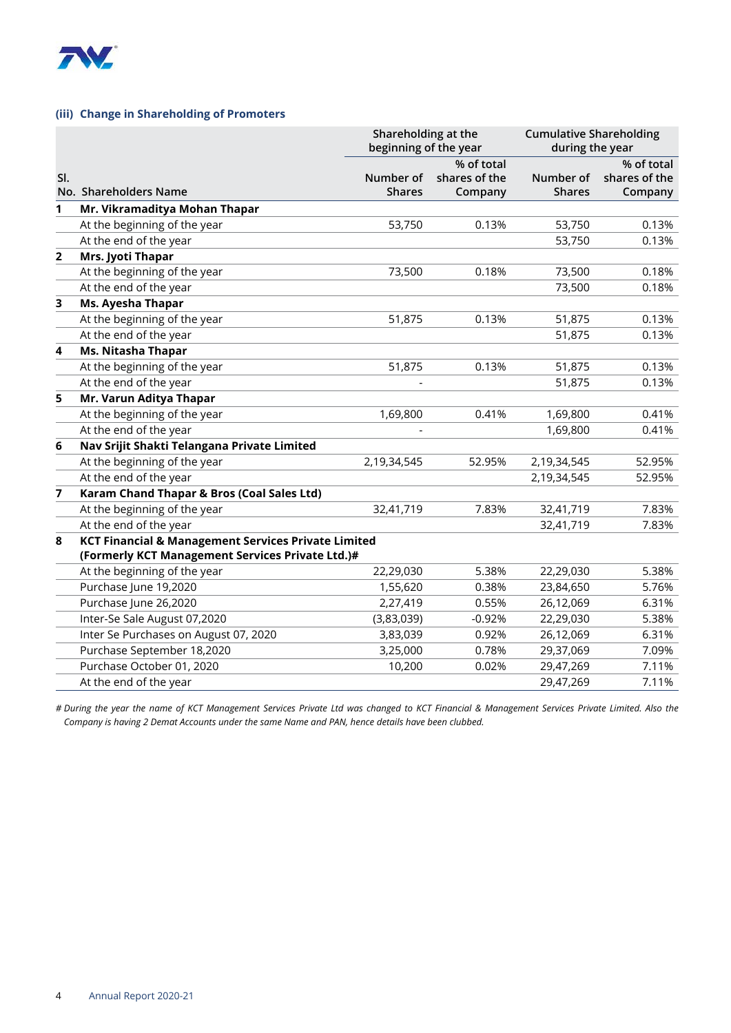

#### **(iii) Change in Shareholding of Promoters**

|                |                                                                                                                    | Shareholding at the<br>beginning of the year |                                        | <b>Cumulative Shareholding</b><br>during the year |                                        |
|----------------|--------------------------------------------------------------------------------------------------------------------|----------------------------------------------|----------------------------------------|---------------------------------------------------|----------------------------------------|
| SI.            | No. Shareholders Name                                                                                              | Number of<br><b>Shares</b>                   | % of total<br>shares of the<br>Company | Number of<br><b>Shares</b>                        | % of total<br>shares of the<br>Company |
| 1              | Mr. Vikramaditya Mohan Thapar                                                                                      |                                              |                                        |                                                   |                                        |
|                | At the beginning of the year                                                                                       | 53,750                                       | 0.13%                                  | 53,750                                            | 0.13%                                  |
|                | At the end of the year                                                                                             |                                              |                                        | 53,750                                            | 0.13%                                  |
| $\overline{2}$ | Mrs. Jyoti Thapar                                                                                                  |                                              |                                        |                                                   |                                        |
|                | At the beginning of the year                                                                                       | 73,500                                       | 0.18%                                  | 73,500                                            | 0.18%                                  |
|                | At the end of the year                                                                                             |                                              |                                        | 73,500                                            | 0.18%                                  |
| 3              | Ms. Ayesha Thapar                                                                                                  |                                              |                                        |                                                   |                                        |
|                | At the beginning of the year                                                                                       | 51,875                                       | 0.13%                                  | 51,875                                            | 0.13%                                  |
|                | At the end of the year                                                                                             |                                              |                                        | 51,875                                            | 0.13%                                  |
| 4              | Ms. Nitasha Thapar                                                                                                 |                                              |                                        |                                                   |                                        |
|                | At the beginning of the year                                                                                       | 51,875                                       | 0.13%                                  | 51,875                                            | 0.13%                                  |
|                | At the end of the year                                                                                             |                                              |                                        | 51,875                                            | 0.13%                                  |
| 5              | Mr. Varun Aditya Thapar                                                                                            |                                              |                                        |                                                   |                                        |
|                | At the beginning of the year                                                                                       | 1,69,800                                     | 0.41%                                  | 1,69,800                                          | 0.41%                                  |
|                | At the end of the year                                                                                             |                                              |                                        | 1,69,800                                          | 0.41%                                  |
| 6              | Nav Srijit Shakti Telangana Private Limited                                                                        |                                              |                                        |                                                   |                                        |
|                | At the beginning of the year                                                                                       | 2,19,34,545                                  | 52.95%                                 | 2,19,34,545                                       | 52.95%                                 |
|                | At the end of the year                                                                                             |                                              |                                        | 2,19,34,545                                       | 52.95%                                 |
| $\overline{7}$ | Karam Chand Thapar & Bros (Coal Sales Ltd)                                                                         |                                              |                                        |                                                   |                                        |
|                | At the beginning of the year                                                                                       | 32,41,719                                    | 7.83%                                  | 32,41,719                                         | 7.83%                                  |
|                | At the end of the year                                                                                             |                                              |                                        | 32,41,719                                         | 7.83%                                  |
| 8              | <b>KCT Financial &amp; Management Services Private Limited</b><br>(Formerly KCT Management Services Private Ltd.)# |                                              |                                        |                                                   |                                        |
|                | At the beginning of the year                                                                                       | 22,29,030                                    | 5.38%                                  | 22,29,030                                         | 5.38%                                  |
|                | Purchase June 19,2020                                                                                              | 1,55,620                                     | 0.38%                                  | 23,84,650                                         | 5.76%                                  |
|                | Purchase June 26,2020                                                                                              | 2,27,419                                     | 0.55%                                  | 26,12,069                                         | 6.31%                                  |
|                | Inter-Se Sale August 07,2020                                                                                       | (3,83,039)                                   | $-0.92%$                               | 22,29,030                                         | 5.38%                                  |
|                | Inter Se Purchases on August 07, 2020                                                                              | 3,83,039                                     | 0.92%                                  | 26,12,069                                         | 6.31%                                  |
|                | Purchase September 18,2020                                                                                         | 3,25,000                                     | 0.78%                                  | 29,37,069                                         | 7.09%                                  |
|                | Purchase October 01, 2020                                                                                          | 10,200                                       | 0.02%                                  | 29,47,269                                         | 7.11%                                  |
|                | At the end of the year                                                                                             |                                              |                                        | 29,47,269                                         | 7.11%                                  |

*# During the year the name of KCT Management Services Private Ltd was changed to KCT Financial & Management Services Private Limited. Also the Company is having 2 Demat Accounts under the same Name and PAN, hence details have been clubbed.*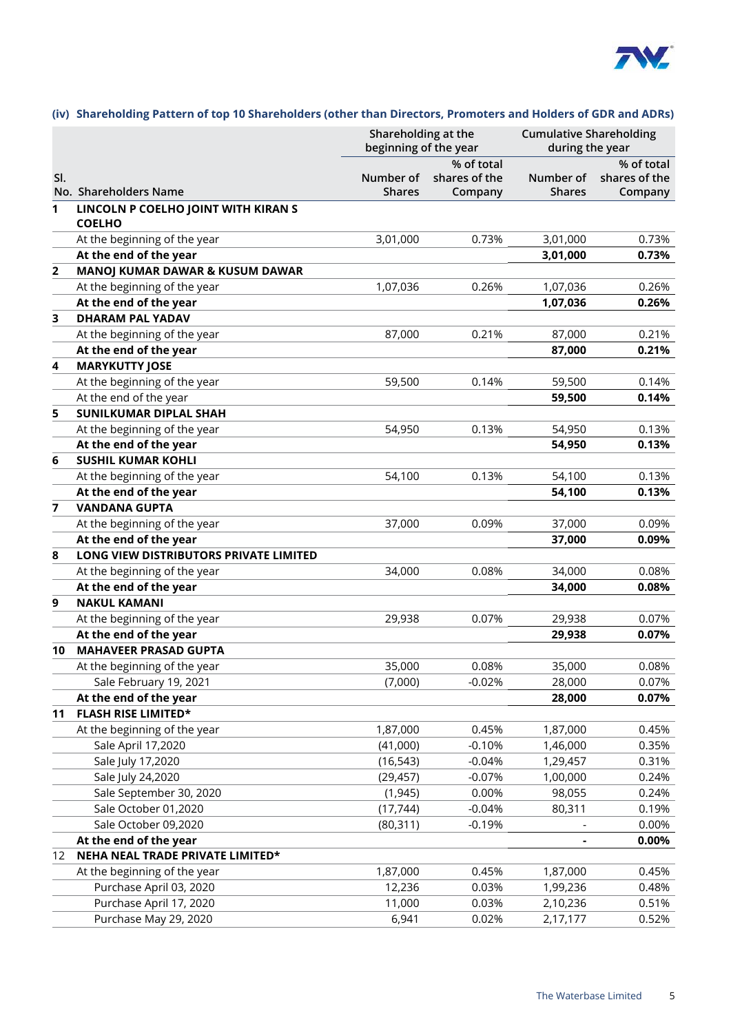

#### **(iv) Shareholding Pattern of top 10 Shareholders (other than Directors, Promoters and Holders of GDR and ADRs)**

|                |                                        | Shareholding at the<br>beginning of the year |                                        | <b>Cumulative Shareholding</b><br>during the year |                                        |
|----------------|----------------------------------------|----------------------------------------------|----------------------------------------|---------------------------------------------------|----------------------------------------|
| SI.            | No. Shareholders Name                  | Number of<br><b>Shares</b>                   | % of total<br>shares of the<br>Company | Number of<br><b>Shares</b>                        | % of total<br>shares of the<br>Company |
| 1              | LINCOLN P COELHO JOINT WITH KIRAN S    |                                              |                                        |                                                   |                                        |
|                | <b>COELHO</b>                          |                                              |                                        |                                                   |                                        |
|                | At the beginning of the year           | 3,01,000                                     | 0.73%                                  | 3,01,000                                          | 0.73%                                  |
|                | At the end of the year                 |                                              |                                        | 3,01,000                                          | 0.73%                                  |
| $\overline{2}$ | MANOJ KUMAR DAWAR & KUSUM DAWAR        |                                              |                                        |                                                   |                                        |
|                | At the beginning of the year           | 1,07,036                                     | 0.26%                                  | 1,07,036                                          | 0.26%                                  |
|                | At the end of the year                 |                                              |                                        | 1,07,036                                          | 0.26%                                  |
| 3              | <b>DHARAM PAL YADAV</b>                |                                              |                                        |                                                   |                                        |
|                | At the beginning of the year           | 87,000                                       | 0.21%                                  | 87,000                                            | 0.21%                                  |
|                | At the end of the year                 |                                              |                                        | 87,000                                            | 0.21%                                  |
| 4              | <b>MARYKUTTY JOSE</b>                  |                                              |                                        |                                                   |                                        |
|                | At the beginning of the year           | 59,500                                       | 0.14%                                  | 59,500                                            | 0.14%                                  |
|                | At the end of the year                 |                                              |                                        | 59,500                                            | 0.14%                                  |
| 5              | <b>SUNILKUMAR DIPLAL SHAH</b>          |                                              |                                        |                                                   |                                        |
|                | At the beginning of the year           | 54,950                                       | 0.13%                                  | 54,950                                            | 0.13%                                  |
|                | At the end of the year                 |                                              |                                        | 54,950                                            | 0.13%                                  |
| 6              | <b>SUSHIL KUMAR KOHLI</b>              |                                              |                                        |                                                   |                                        |
|                | At the beginning of the year           | 54,100                                       | 0.13%                                  | 54,100                                            | 0.13%                                  |
|                | At the end of the year                 |                                              |                                        | 54,100                                            | 0.13%                                  |
| 7              | <b>VANDANA GUPTA</b>                   |                                              |                                        |                                                   |                                        |
|                | At the beginning of the year           | 37,000                                       | 0.09%                                  | 37,000                                            | 0.09%                                  |
|                | At the end of the year                 |                                              |                                        | 37,000                                            | 0.09%                                  |
| 8              | LONG VIEW DISTRIBUTORS PRIVATE LIMITED |                                              |                                        |                                                   |                                        |
|                | At the beginning of the year           | 34,000                                       | 0.08%                                  | 34,000                                            | 0.08%                                  |
|                | At the end of the year                 |                                              |                                        | 34,000                                            | 0.08%                                  |
| 9              | <b>NAKUL KAMANI</b>                    |                                              |                                        |                                                   |                                        |
|                | At the beginning of the year           | 29,938                                       | 0.07%                                  | 29,938                                            | 0.07%                                  |
|                | At the end of the year                 |                                              |                                        | 29,938                                            | 0.07%                                  |
| 10             | <b>MAHAVEER PRASAD GUPTA</b>           |                                              |                                        |                                                   |                                        |
|                | At the beginning of the year           | 35,000                                       | 0.08%                                  | 35,000                                            | 0.08%                                  |
|                | Sale February 19, 2021                 | (7,000)                                      | $-0.02%$                               | 28,000                                            | 0.07%                                  |
|                | At the end of the year                 |                                              |                                        | 28,000                                            | 0.07%                                  |
| 11             | <b>FLASH RISE LIMITED*</b>             |                                              |                                        |                                                   |                                        |
|                | At the beginning of the year           | 1,87,000                                     | 0.45%                                  | 1,87,000                                          | 0.45%                                  |
|                | Sale April 17,2020                     | (41,000)                                     | $-0.10%$                               | 1,46,000                                          | 0.35%                                  |
|                | Sale July 17,2020                      | (16, 543)                                    | $-0.04%$                               | 1,29,457                                          | 0.31%                                  |
|                | Sale July 24,2020                      | (29, 457)                                    | $-0.07%$                               | 1,00,000                                          | 0.24%                                  |
|                | Sale September 30, 2020                | (1, 945)                                     | 0.00%                                  | 98,055                                            | 0.24%                                  |
|                | Sale October 01,2020                   | (17, 744)                                    | $-0.04%$                               | 80,311                                            | 0.19%                                  |
|                | Sale October 09,2020                   | (80, 311)                                    | $-0.19%$                               |                                                   | 0.00%                                  |
|                | At the end of the year                 |                                              |                                        |                                                   | 0.00%                                  |
| 12             | NEHA NEAL TRADE PRIVATE LIMITED*       |                                              |                                        |                                                   |                                        |
|                | At the beginning of the year           | 1,87,000                                     | 0.45%                                  | 1,87,000                                          | 0.45%                                  |
|                | Purchase April 03, 2020                | 12,236                                       | 0.03%                                  | 1,99,236                                          | 0.48%                                  |
|                | Purchase April 17, 2020                | 11,000                                       | 0.03%                                  | 2,10,236                                          | 0.51%                                  |
|                | Purchase May 29, 2020                  | 6,941                                        | 0.02%                                  | 2,17,177                                          | 0.52%                                  |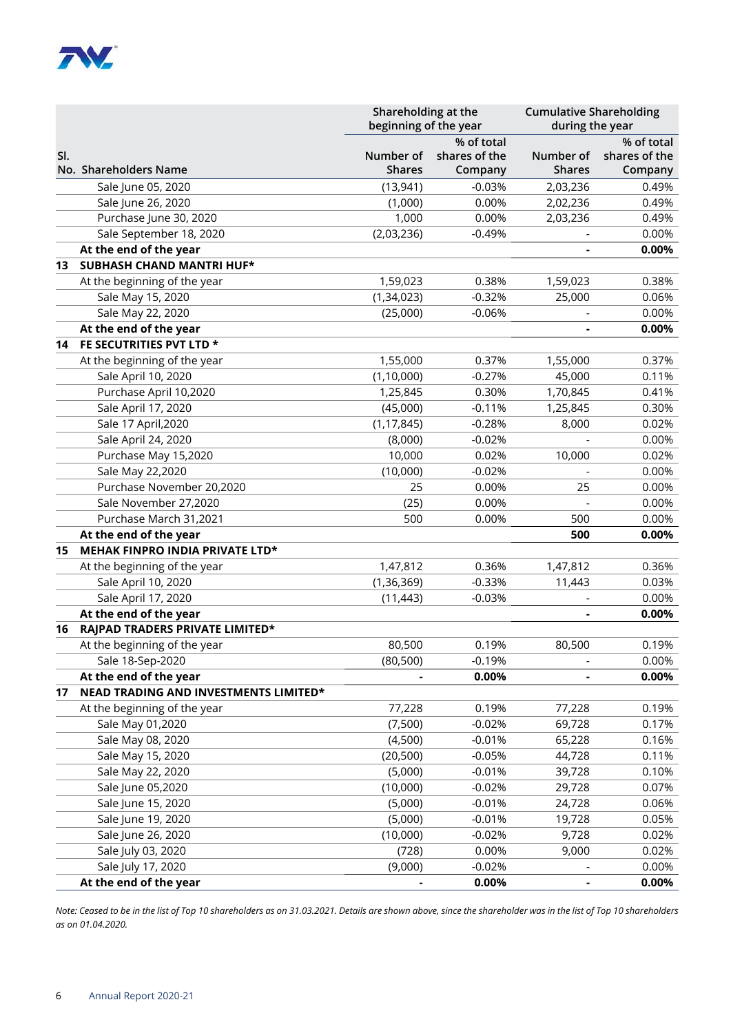

|     |                                       | Shareholding at the<br>beginning of the year |                                        | <b>Cumulative Shareholding</b><br>during the year |                                        |  |
|-----|---------------------------------------|----------------------------------------------|----------------------------------------|---------------------------------------------------|----------------------------------------|--|
| SI. | No. Shareholders Name                 | Number of<br><b>Shares</b>                   | % of total<br>shares of the<br>Company | Number of<br><b>Shares</b>                        | % of total<br>shares of the<br>Company |  |
|     | Sale June 05, 2020                    | (13, 941)                                    | $-0.03%$                               | 2,03,236                                          | 0.49%                                  |  |
|     | Sale June 26, 2020                    | (1,000)                                      | 0.00%                                  | 2,02,236                                          | 0.49%                                  |  |
|     | Purchase June 30, 2020                | 1,000                                        | 0.00%                                  | 2,03,236                                          | 0.49%                                  |  |
|     | Sale September 18, 2020               | (2,03,236)                                   | $-0.49%$                               |                                                   | 0.00%                                  |  |
|     | At the end of the year                |                                              |                                        |                                                   | 0.00%                                  |  |
| 13  | <b>SUBHASH CHAND MANTRI HUF*</b>      |                                              |                                        |                                                   |                                        |  |
|     | At the beginning of the year          | 1,59,023                                     | 0.38%                                  | 1,59,023                                          | 0.38%                                  |  |
|     | Sale May 15, 2020                     | (1, 34, 023)                                 | $-0.32%$                               | 25,000                                            | 0.06%                                  |  |
|     | Sale May 22, 2020                     | (25,000)                                     | $-0.06%$                               |                                                   | 0.00%                                  |  |
|     | At the end of the year                |                                              |                                        |                                                   | 0.00%                                  |  |
| 14  | FE SECUTRITIES PVT LTD *              |                                              |                                        |                                                   |                                        |  |
|     | At the beginning of the year          | 1,55,000                                     | 0.37%                                  | 1,55,000                                          | 0.37%                                  |  |
|     | Sale April 10, 2020                   | (1, 10, 000)                                 | $-0.27%$                               | 45,000                                            | 0.11%                                  |  |
|     | Purchase April 10,2020                | 1,25,845                                     | 0.30%                                  | 1,70,845                                          | 0.41%                                  |  |
|     | Sale April 17, 2020                   | (45,000)                                     | $-0.11%$                               | 1,25,845                                          | 0.30%                                  |  |
|     | Sale 17 April, 2020                   | (1, 17, 845)                                 | $-0.28%$                               | 8,000                                             | 0.02%                                  |  |
|     | Sale April 24, 2020                   | (8,000)                                      | $-0.02%$                               |                                                   | 0.00%                                  |  |
|     | Purchase May 15,2020                  | 10,000                                       | 0.02%                                  | 10,000                                            | 0.02%                                  |  |
|     | Sale May 22,2020                      | (10,000)                                     | $-0.02%$                               |                                                   | 0.00%                                  |  |
|     | Purchase November 20,2020             | 25                                           | 0.00%                                  | 25                                                | 0.00%                                  |  |
|     | Sale November 27,2020                 | (25)                                         | 0.00%                                  |                                                   | 0.00%                                  |  |
|     | Purchase March 31,2021                | 500                                          | 0.00%                                  | 500                                               | 0.00%                                  |  |
|     | At the end of the year                |                                              |                                        | 500                                               | 0.00%                                  |  |
| 15  | MEHAK FINPRO INDIA PRIVATE LTD*       |                                              |                                        |                                                   |                                        |  |
|     | At the beginning of the year          | 1,47,812                                     | 0.36%                                  | 1,47,812                                          | 0.36%                                  |  |
|     | Sale April 10, 2020                   | (1, 36, 369)                                 | $-0.33%$                               | 11,443                                            | 0.03%                                  |  |
|     | Sale April 17, 2020                   | (11, 443)                                    | $-0.03%$                               |                                                   | 0.00%                                  |  |
|     | At the end of the year                |                                              |                                        |                                                   | 0.00%                                  |  |
| 16  | RAJPAD TRADERS PRIVATE LIMITED*       |                                              |                                        |                                                   |                                        |  |
|     | At the beginning of the year          | 80,500                                       | 0.19%                                  | 80,500                                            | 0.19%                                  |  |
|     | Sale 18-Sep-2020                      | (80, 500)                                    | $-0.19%$                               |                                                   | 0.00%                                  |  |
|     | At the end of the year                |                                              | 0.00%                                  |                                                   | $0.00\%$                               |  |
| 17  | NEAD TRADING AND INVESTMENTS LIMITED* |                                              |                                        |                                                   |                                        |  |
|     | At the beginning of the year          | 77,228                                       | 0.19%                                  | 77,228                                            | 0.19%                                  |  |
|     | Sale May 01,2020                      | (7,500)                                      | $-0.02%$                               | 69,728                                            | 0.17%                                  |  |
|     | Sale May 08, 2020                     | (4,500)                                      | $-0.01%$                               | 65,228                                            | 0.16%                                  |  |
|     | Sale May 15, 2020                     | (20, 500)                                    | $-0.05%$                               | 44,728                                            | 0.11%                                  |  |
|     | Sale May 22, 2020                     | (5,000)                                      | $-0.01%$                               | 39,728                                            | 0.10%                                  |  |
|     | Sale June 05,2020                     | (10,000)                                     | $-0.02%$                               | 29,728                                            | 0.07%                                  |  |
|     | Sale June 15, 2020                    | (5,000)                                      | $-0.01%$                               | 24,728                                            | 0.06%                                  |  |
|     | Sale June 19, 2020                    | (5,000)                                      | $-0.01%$                               | 19,728                                            | 0.05%                                  |  |
|     | Sale June 26, 2020                    | (10,000)                                     | $-0.02%$                               | 9,728                                             | 0.02%                                  |  |
|     | Sale July 03, 2020                    | (728)                                        | 0.00%                                  | 9,000                                             | 0.02%                                  |  |
|     | Sale July 17, 2020                    | (9,000)                                      | $-0.02%$                               |                                                   | 0.00%                                  |  |
|     | At the end of the year                |                                              | 0.00%                                  |                                                   | 0.00%                                  |  |

*Note: Ceased to be in the list of Top 10 shareholders as on 31.03.2021. Details are shown above, since the shareholder was in the list of Top 10 shareholders as on 01.04.2020.*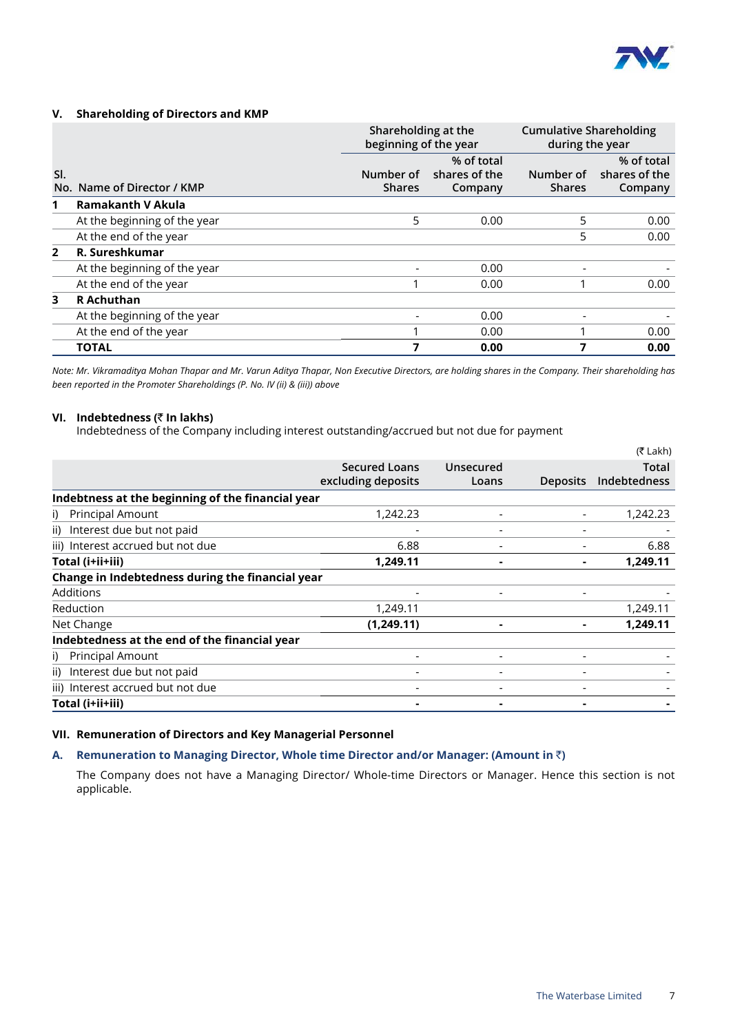

#### **V. Shareholding of Directors and KMP**

|                |                              | Shareholding at the<br>beginning of the year |                                        | <b>Cumulative Shareholding</b><br>during the year |                                        |
|----------------|------------------------------|----------------------------------------------|----------------------------------------|---------------------------------------------------|----------------------------------------|
| SI.            | No. Name of Director / KMP   | Number of<br><b>Shares</b>                   | % of total<br>shares of the<br>Company | Number of<br><b>Shares</b>                        | % of total<br>shares of the<br>Company |
| 1              | Ramakanth V Akula            |                                              |                                        |                                                   |                                        |
|                | At the beginning of the year | 5                                            | 0.00                                   | 5                                                 | 0.00                                   |
|                | At the end of the year       |                                              |                                        | 5                                                 | 0.00                                   |
| $\overline{2}$ | R. Sureshkumar               |                                              |                                        |                                                   |                                        |
|                | At the beginning of the year |                                              | 0.00                                   |                                                   |                                        |
|                | At the end of the year       |                                              | 0.00                                   |                                                   | 0.00                                   |
| 3              | <b>R</b> Achuthan            |                                              |                                        |                                                   |                                        |
|                | At the beginning of the year |                                              | 0.00                                   |                                                   |                                        |
|                | At the end of the year       |                                              | 0.00                                   |                                                   | 0.00                                   |
|                | <b>TOTAL</b>                 | 7                                            | 0.00                                   | 7                                                 | 0.00                                   |

*Note: Mr. Vikramaditya Mohan Thapar and Mr. Varun Aditya Thapar, Non Executive Directors, are holding shares in the Company. Their shareholding has been reported in the Promoter Shareholdings (P. No. IV (ii) & (iii)) above*

#### **VI. Indebtedness (**` **In lakhs)**

Indebtedness of the Company including interest outstanding/accrued but not due for payment

|                                                   |                      |           |                 | (₹ Lakh)     |
|---------------------------------------------------|----------------------|-----------|-----------------|--------------|
|                                                   | <b>Secured Loans</b> | Unsecured |                 | <b>Total</b> |
|                                                   | excluding deposits   | Loans     | <b>Deposits</b> | Indebtedness |
| Indebtness at the beginning of the financial year |                      |           |                 |              |
| <b>Principal Amount</b><br>i)                     | 1.242.23             |           |                 | 1,242.23     |
| ii) Interest due but not paid                     |                      |           |                 |              |
| iii) Interest accrued but not due                 | 6.88                 |           |                 | 6.88         |
| Total (i+ii+iii)                                  | 1,249.11             |           |                 | 1,249.11     |
| Change in Indebtedness during the financial year  |                      |           |                 |              |
| Additions                                         |                      |           |                 |              |
| Reduction                                         | 1,249.11             |           |                 | 1,249.11     |
| Net Change                                        | (1,249.11)           |           |                 | 1,249.11     |
| Indebtedness at the end of the financial year     |                      |           |                 |              |
| i) Principal Amount                               |                      |           |                 |              |
| Interest due but not paid<br>ii)                  |                      |           |                 |              |
| iii) Interest accrued but not due                 |                      |           |                 |              |
| Total (i+ii+iii)                                  |                      |           |                 |              |

#### **VII. Remuneration of Directors and Key Managerial Personnel**

#### **A. Remuneration to Managing Director, Whole time Director and/or Manager: (Amount in** `**)**

 The Company does not have a Managing Director/ Whole-time Directors or Manager. Hence this section is not applicable.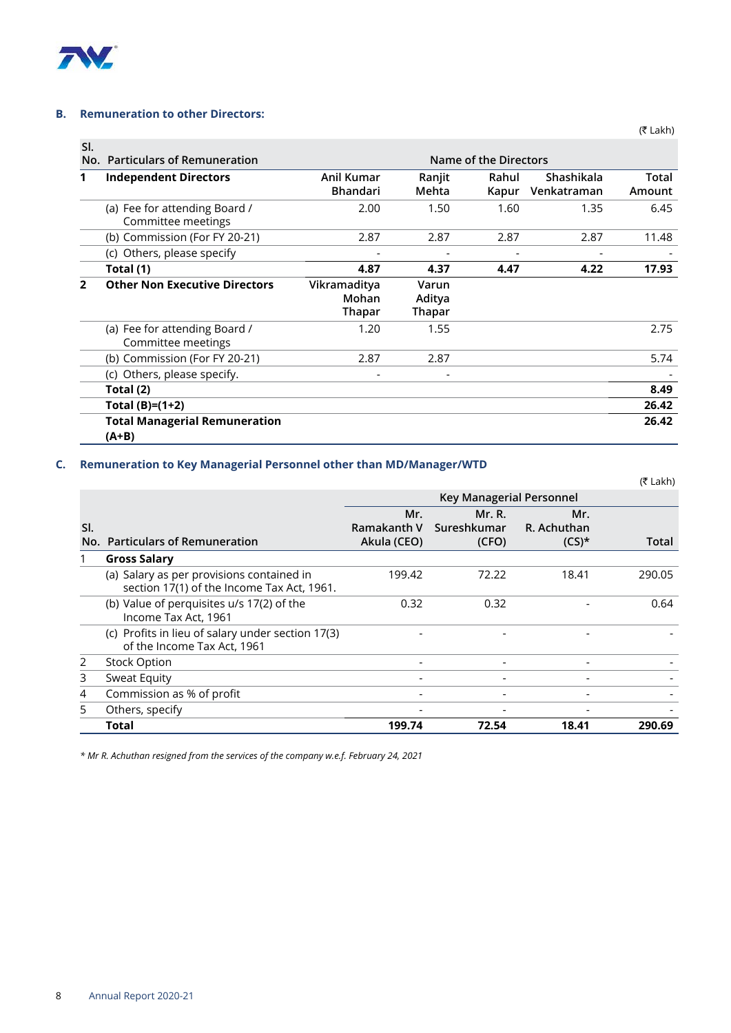

#### **B. Remuneration to other Directors:**

| SI. |                                                     |                                 |                                  |                |                           |                 |  |
|-----|-----------------------------------------------------|---------------------------------|----------------------------------|----------------|---------------------------|-----------------|--|
|     | No. Particulars of Remuneration                     | Name of the Directors           |                                  |                |                           |                 |  |
| 1   | <b>Independent Directors</b>                        | Anil Kumar<br><b>Bhandari</b>   | Ranjit<br>Mehta                  | Rahul<br>Kapur | Shashikala<br>Venkatraman | Total<br>Amount |  |
|     | (a) Fee for attending Board /<br>Committee meetings | 2.00                            | 1.50                             | 1.60           | 1.35                      | 6.45            |  |
|     | (b) Commission (For FY 20-21)                       | 2.87                            | 2.87                             | 2.87           | 2.87                      | 11.48           |  |
|     | (c) Others, please specify                          |                                 |                                  |                |                           |                 |  |
|     | Total (1)                                           | 4.87                            | 4.37                             | 4.47           | 4.22                      | 17.93           |  |
| 2   | <b>Other Non Executive Directors</b>                | Vikramaditya<br>Mohan<br>Thapar | Varun<br>Aditya<br><b>Thapar</b> |                |                           |                 |  |
|     | (a) Fee for attending Board /<br>Committee meetings | 1.20                            | 1.55                             |                |                           | 2.75            |  |
|     | (b) Commission (For FY 20-21)                       | 2.87                            | 2.87                             |                |                           | 5.74            |  |
|     | (c) Others, please specify.                         |                                 |                                  |                |                           |                 |  |
|     | Total (2)                                           |                                 |                                  |                |                           | 8.49            |  |
|     | Total $(B)=(1+2)$                                   |                                 |                                  |                |                           | 26.42           |  |
|     | <b>Total Managerial Remuneration</b><br>(A+B)       |                                 |                                  |                |                           | 26.42           |  |

# **C. Remuneration to Key Managerial Personnel other than MD/Manager/WTD**

|     |                                                                                         |                                   |                                |                                | (₹ Lakh) |
|-----|-----------------------------------------------------------------------------------------|-----------------------------------|--------------------------------|--------------------------------|----------|
|     |                                                                                         |                                   |                                |                                |          |
| SI. | No. Particulars of Remuneration                                                         | Mr.<br>Ramakanth V<br>Akula (CEO) | Mr. R.<br>Sureshkumar<br>(CFO) | Mr.<br>R. Achuthan<br>$(CS)^*$ | Total    |
|     | <b>Gross Salary</b>                                                                     |                                   |                                |                                |          |
|     | (a) Salary as per provisions contained in<br>section 17(1) of the Income Tax Act, 1961. | 199.42                            | 72.22                          | 18.41                          | 290.05   |
|     | (b) Value of perquisites u/s 17(2) of the<br>Income Tax Act, 1961                       | 0.32                              | 0.32                           |                                | 0.64     |
|     | (c) Profits in lieu of salary under section 17(3)<br>of the Income Tax Act, 1961        |                                   |                                |                                |          |
| 2   | <b>Stock Option</b>                                                                     | $\overline{\phantom{0}}$          |                                |                                |          |
| 3   | Sweat Equity                                                                            |                                   |                                | $\overline{\phantom{0}}$       |          |
| 4   | Commission as % of profit                                                               |                                   |                                |                                |          |
| 5   | Others, specify                                                                         |                                   |                                |                                |          |
|     | Total                                                                                   | 199.74                            | 72.54                          | 18.41                          | 290.69   |

*\* Mr R. Achuthan resigned from the services of the company w.e.f. February 24, 2021*

(₹ Lakh)